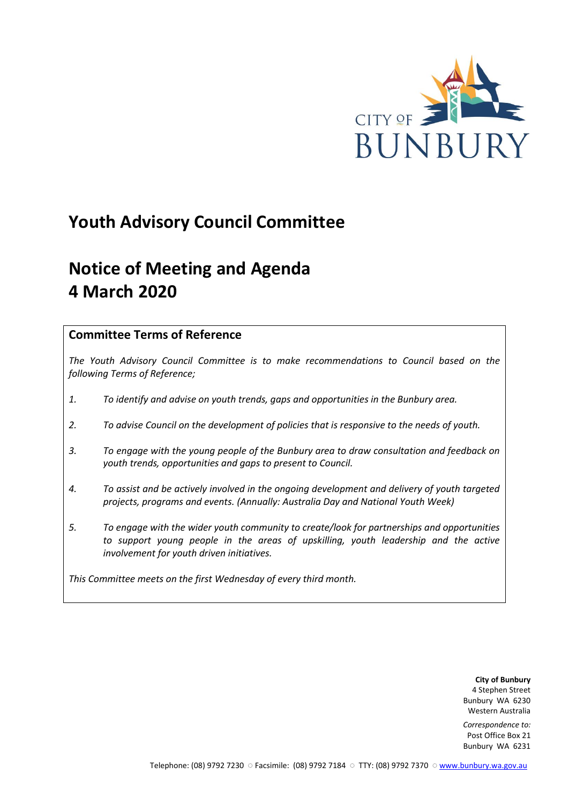

# **Youth Advisory Council Committee**

# **Notice of Meeting and Agenda 4 March 2020**

## **Committee Terms of Reference**

*The Youth Advisory Council Committee is to make recommendations to Council based on the following Terms of Reference;*

- *1. To identify and advise on youth trends, gaps and opportunities in the Bunbury area.*
- *2. To advise Council on the development of policies that is responsive to the needs of youth.*
- *3. To engage with the young people of the Bunbury area to draw consultation and feedback on youth trends, opportunities and gaps to present to Council.*
- *4. To assist and be actively involved in the ongoing development and delivery of youth targeted projects, programs and events. (Annually: Australia Day and National Youth Week)*
- *5. To engage with the wider youth community to create/look for partnerships and opportunities*  to support young people in the areas of upskilling, youth leadership and the active *involvement for youth driven initiatives.*

*This Committee meets on the first Wednesday of every third month.*

**City of Bunbury** 4 Stephen Street Bunbury WA 6230 Western Australia

*Correspondence to:* Post Office Box 21 Bunbury WA 6231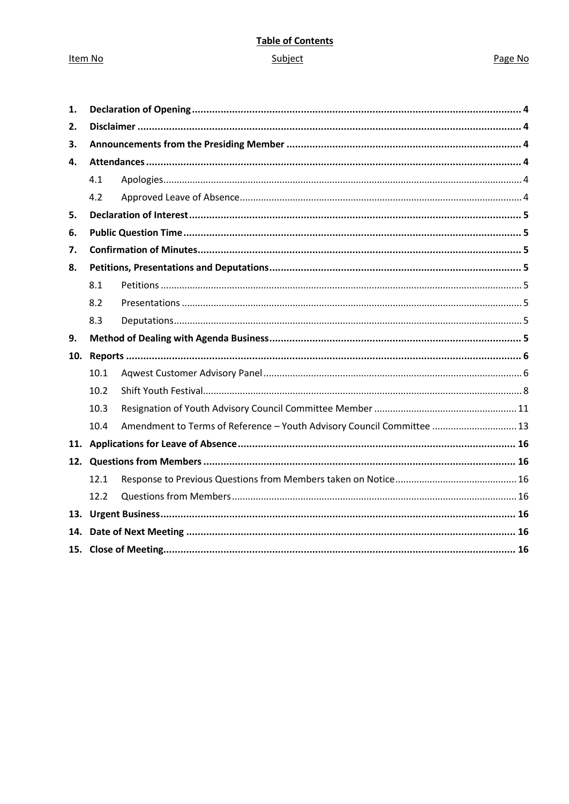Item No

## **Table of Contents**

## Subject

## Page No

| 1.  |      |                                                                        |  |
|-----|------|------------------------------------------------------------------------|--|
| 2.  |      |                                                                        |  |
| 3.  |      |                                                                        |  |
| 4.  |      |                                                                        |  |
|     | 4.1  |                                                                        |  |
|     | 4.2  |                                                                        |  |
| 5.  |      |                                                                        |  |
| 6.  |      |                                                                        |  |
| 7.  |      |                                                                        |  |
| 8.  |      |                                                                        |  |
|     | 8.1  |                                                                        |  |
|     | 8.2  |                                                                        |  |
|     | 8.3  |                                                                        |  |
| 9.  |      |                                                                        |  |
| 10. |      |                                                                        |  |
|     | 10.1 |                                                                        |  |
|     | 10.2 |                                                                        |  |
|     | 10.3 |                                                                        |  |
|     | 10.4 | Amendment to Terms of Reference - Youth Advisory Council Committee  13 |  |
| 11. |      |                                                                        |  |
|     |      |                                                                        |  |
|     | 12.1 |                                                                        |  |
|     | 12.2 |                                                                        |  |
|     |      |                                                                        |  |
| 14. |      |                                                                        |  |
|     |      |                                                                        |  |
|     |      |                                                                        |  |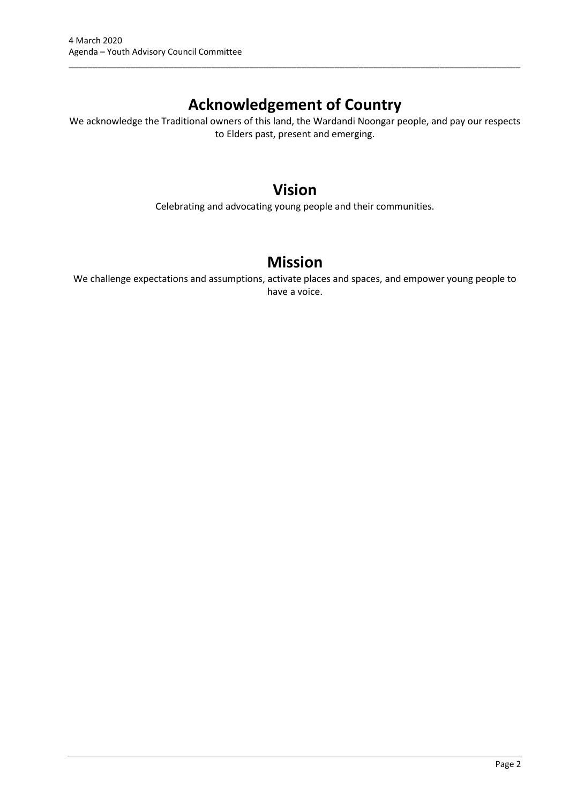# **Acknowledgement of Country**

\_\_\_\_\_\_\_\_\_\_\_\_\_\_\_\_\_\_\_\_\_\_\_\_\_\_\_\_\_\_\_\_\_\_\_\_\_\_\_\_\_\_\_\_\_\_\_\_\_\_\_\_\_\_\_\_\_\_\_\_\_\_\_\_\_\_\_\_\_\_\_\_\_\_\_\_\_\_\_\_\_\_\_\_\_\_\_\_\_\_\_\_\_\_\_

We acknowledge the Traditional owners of this land, the Wardandi Noongar people, and pay our respects to Elders past, present and emerging.

## **Vision**

Celebrating and advocating young people and their communities.

# **Mission**

We challenge expectations and assumptions, activate places and spaces, and empower young people to have a voice.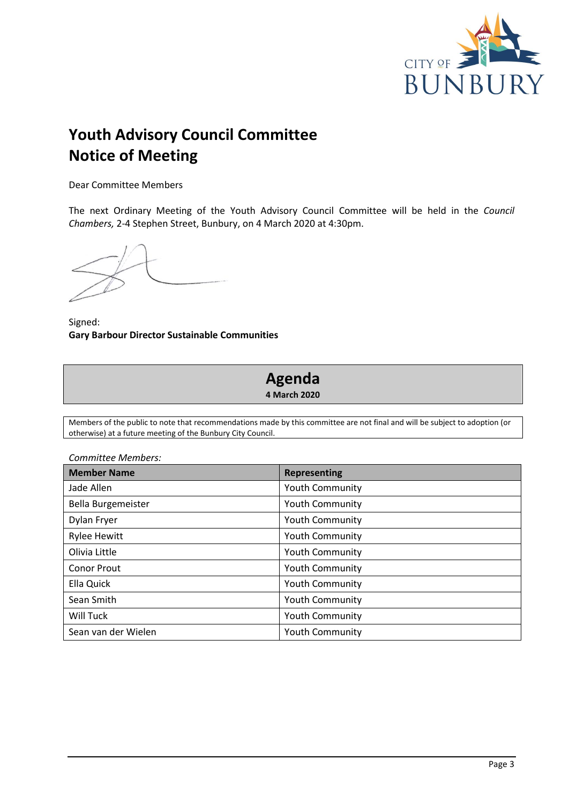

# **Youth Advisory Council Committee Notice of Meeting**

Dear Committee Members

The next Ordinary Meeting of the Youth Advisory Council Committee will be held in the *Council Chambers,* 2-4 Stephen Street, Bunbury, on 4 March 2020 at 4:30pm.

Signed: **Gary Barbour Director Sustainable Communities**

# **Agenda**

**4 March 2020**

Members of the public to note that recommendations made by this committee are not final and will be subject to adoption (or otherwise) at a future meeting of the Bunbury City Council.

| Committee Members:  |                        |  |
|---------------------|------------------------|--|
| <b>Member Name</b>  | <b>Representing</b>    |  |
| Jade Allen          | <b>Youth Community</b> |  |
| Bella Burgemeister  | <b>Youth Community</b> |  |
| Dylan Fryer         | <b>Youth Community</b> |  |
| <b>Rylee Hewitt</b> | <b>Youth Community</b> |  |
| Olivia Little       | <b>Youth Community</b> |  |
| <b>Conor Prout</b>  | <b>Youth Community</b> |  |
| Ella Quick          | <b>Youth Community</b> |  |
| Sean Smith          | <b>Youth Community</b> |  |
| Will Tuck           | <b>Youth Community</b> |  |
| Sean van der Wielen | <b>Youth Community</b> |  |

*Committee Members:*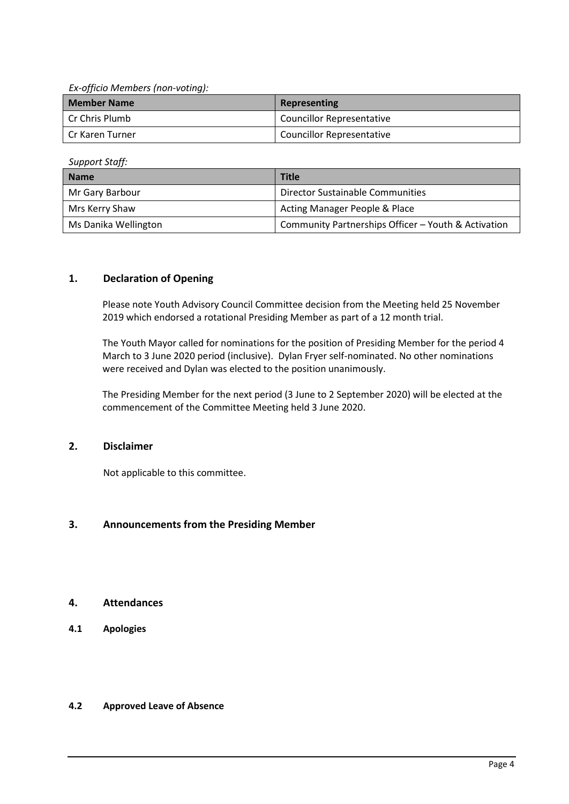*Ex-officio Members (non-voting):*

| <b>Member Name</b> | Representing                     |
|--------------------|----------------------------------|
| l Cr Chris Plumb   | <b>Councillor Representative</b> |
| Cr Karen Turner    | <b>Councillor Representative</b> |

*Support Staff:*

| <b>Name</b>          | <b>Title</b>                                        |
|----------------------|-----------------------------------------------------|
| Mr Gary Barbour      | Director Sustainable Communities                    |
| Mrs Kerry Shaw       | Acting Manager People & Place                       |
| Ms Danika Wellington | Community Partnerships Officer - Youth & Activation |

## <span id="page-4-0"></span>**1. Declaration of Opening**

Please note Youth Advisory Council Committee decision from the Meeting held 25 November 2019 which endorsed a rotational Presiding Member as part of a 12 month trial.

The Youth Mayor called for nominations for the position of Presiding Member for the period 4 March to 3 June 2020 period (inclusive). Dylan Fryer self-nominated. No other nominations were received and Dylan was elected to the position unanimously.

The Presiding Member for the next period (3 June to 2 September 2020) will be elected at the commencement of the Committee Meeting held 3 June 2020.

## <span id="page-4-1"></span>**2. Disclaimer**

Not applicable to this committee.

## <span id="page-4-2"></span>**3. Announcements from the Presiding Member**

## <span id="page-4-3"></span>**4. Attendances**

<span id="page-4-4"></span>**4.1 Apologies**

## <span id="page-4-5"></span>**4.2 Approved Leave of Absence**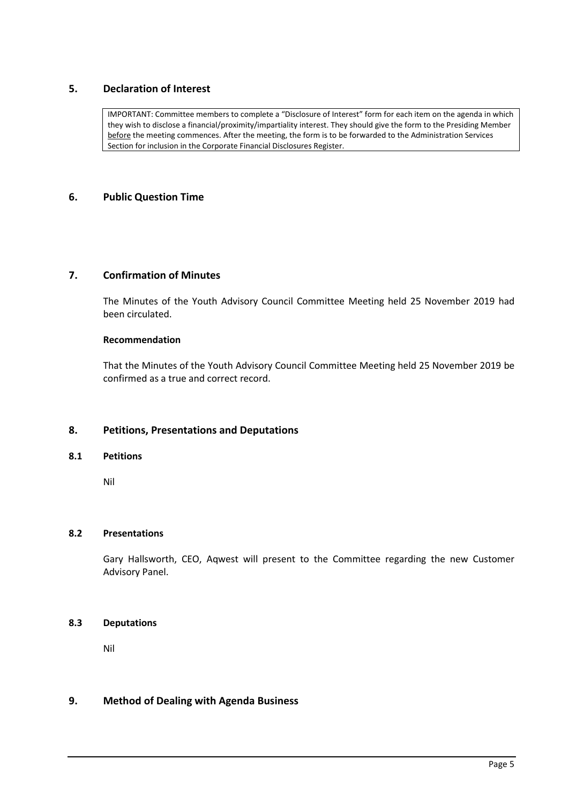## <span id="page-5-0"></span>**5. Declaration of Interest**

IMPORTANT: Committee members to complete a "Disclosure of Interest" form for each item on the agenda in which they wish to disclose a financial/proximity/impartiality interest. They should give the form to the Presiding Member before the meeting commences. After the meeting, the form is to be forwarded to the Administration Services Section for inclusion in the Corporate Financial Disclosures Register.

## <span id="page-5-1"></span>**6. Public Question Time**

## <span id="page-5-2"></span>**7. Confirmation of Minutes**

The Minutes of the Youth Advisory Council Committee Meeting held 25 November 2019 had been circulated.

#### **Recommendation**

That the Minutes of the Youth Advisory Council Committee Meeting held 25 November 2019 be confirmed as a true and correct record.

## <span id="page-5-3"></span>**8. Petitions, Presentations and Deputations**

#### <span id="page-5-4"></span>**8.1 Petitions**

Nil

#### <span id="page-5-5"></span>**8.2 Presentations**

Gary Hallsworth, CEO, Aqwest will present to the Committee regarding the new Customer Advisory Panel.

## <span id="page-5-6"></span>**8.3 Deputations**

Nil

#### <span id="page-5-7"></span>**9. Method of Dealing with Agenda Business**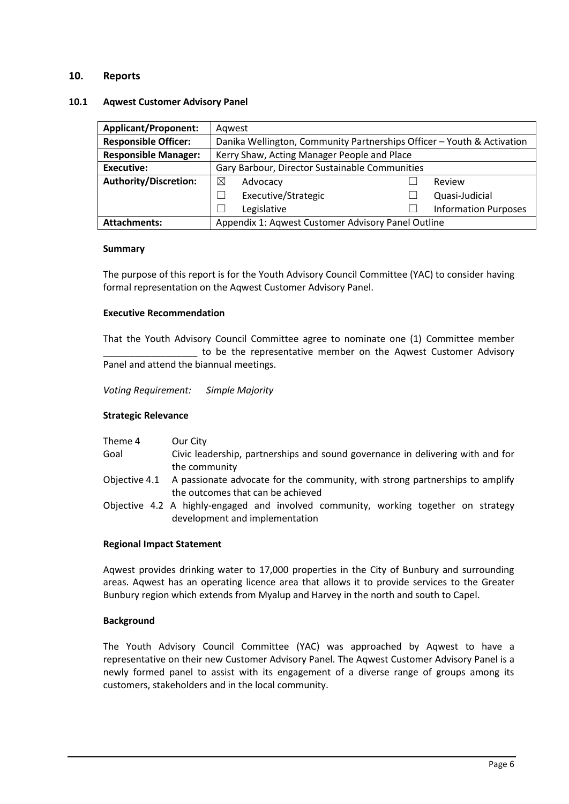## <span id="page-6-0"></span>**10. Reports**

#### <span id="page-6-1"></span>**10.1 Aqwest Customer Advisory Panel**

| <b>Applicant/Proponent:</b>  | Agwest                                                                 |  |                             |  |
|------------------------------|------------------------------------------------------------------------|--|-----------------------------|--|
| <b>Responsible Officer:</b>  | Danika Wellington, Community Partnerships Officer - Youth & Activation |  |                             |  |
| <b>Responsible Manager:</b>  | Kerry Shaw, Acting Manager People and Place                            |  |                             |  |
| <b>Executive:</b>            | Gary Barbour, Director Sustainable Communities                         |  |                             |  |
| <b>Authority/Discretion:</b> | ⊠<br>Advocacy                                                          |  | Review                      |  |
|                              | Executive/Strategic                                                    |  | Quasi-Judicial              |  |
|                              | Legislative                                                            |  | <b>Information Purposes</b> |  |
| <b>Attachments:</b>          | Appendix 1: Aqwest Customer Advisory Panel Outline                     |  |                             |  |

#### **Summary**

The purpose of this report is for the Youth Advisory Council Committee (YAC) to consider having formal representation on the Aqwest Customer Advisory Panel.

#### **Executive Recommendation**

That the Youth Advisory Council Committee agree to nominate one (1) Committee member to be the representative member on the Aqwest Customer Advisory Panel and attend the biannual meetings.

*Voting Requirement: Simple Majority* 

#### **Strategic Relevance**

| Theme 4 | Our City                                                                                   |
|---------|--------------------------------------------------------------------------------------------|
| Goal    | Civic leadership, partnerships and sound governance in delivering with and for             |
|         | the community                                                                              |
|         | Objective 4.1 A passionate advocate for the community, with strong partnerships to amplify |
|         | the outcomes that can be achieved                                                          |

Objective 4.2 A highly-engaged and involved community, working together on strategy development and implementation

#### **Regional Impact Statement**

Aqwest provides drinking water to 17,000 properties in the City of Bunbury and surrounding areas. Aqwest has an operating licence area that allows it to provide services to the Greater Bunbury region which extends from Myalup and Harvey in the north and south to Capel.

#### **Background**

The Youth Advisory Council Committee (YAC) was approached by Aqwest to have a representative on their new Customer Advisory Panel. The Aqwest Customer Advisory Panel is a newly formed panel to assist with its engagement of a diverse range of groups among its customers, stakeholders and in the local community.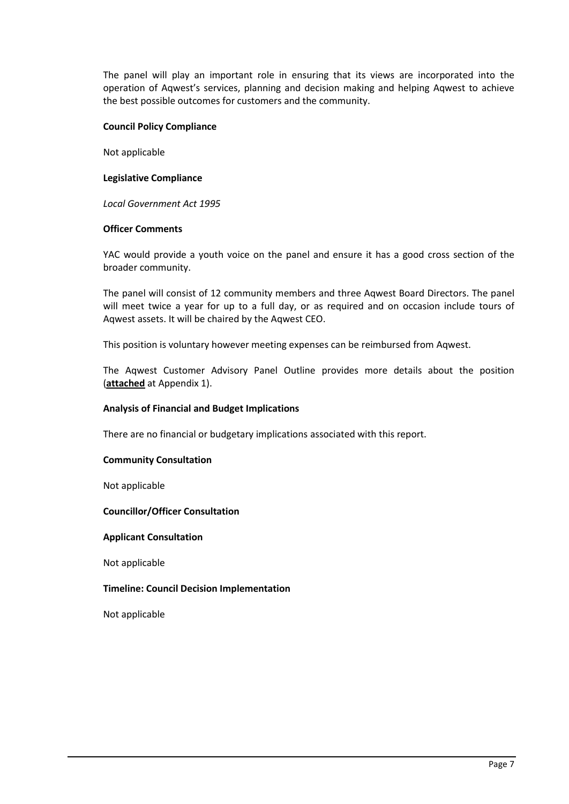The panel will play an important role in ensuring that its views are incorporated into the operation of Aqwest's services, planning and decision making and helping Aqwest to achieve the best possible outcomes for customers and the community.

### **Council Policy Compliance**

Not applicable

## **Legislative Compliance**

*Local Government Act 1995*

#### **Officer Comments**

YAC would provide a youth voice on the panel and ensure it has a good cross section of the broader community.

The panel will consist of 12 community members and three Aqwest Board Directors. The panel will meet twice a year for up to a full day, or as required and on occasion include tours of Aqwest assets. It will be chaired by the Aqwest CEO.

This position is voluntary however meeting expenses can be reimbursed from Aqwest.

The Aqwest Customer Advisory Panel Outline provides more details about the position (**attached** at Appendix 1).

#### **Analysis of Financial and Budget Implications**

There are no financial or budgetary implications associated with this report.

#### **Community Consultation**

Not applicable

#### **Councillor/Officer Consultation**

#### **Applicant Consultation**

Not applicable

#### **Timeline: Council Decision Implementation**

Not applicable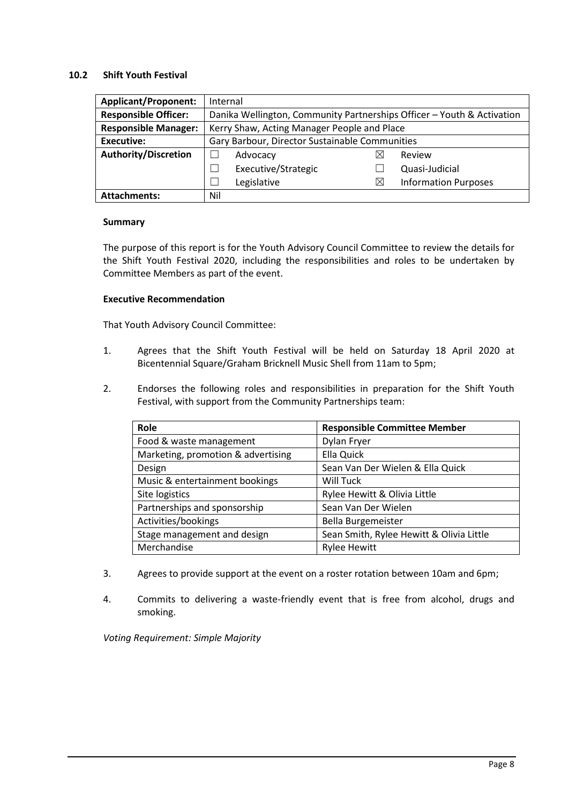#### <span id="page-8-0"></span>**10.2 Shift Youth Festival**

| <b>Applicant/Proponent:</b> | Internal                                                               |          |                             |  |
|-----------------------------|------------------------------------------------------------------------|----------|-----------------------------|--|
| <b>Responsible Officer:</b> | Danika Wellington, Community Partnerships Officer - Youth & Activation |          |                             |  |
| <b>Responsible Manager:</b> | Kerry Shaw, Acting Manager People and Place                            |          |                             |  |
| <b>Executive:</b>           | Gary Barbour, Director Sustainable Communities                         |          |                             |  |
| <b>Authority/Discretion</b> | Advocacy                                                               | IX       | Review                      |  |
|                             | Executive/Strategic                                                    |          | Quasi-Judicial              |  |
|                             | Legislative                                                            | $\times$ | <b>Information Purposes</b> |  |
| <b>Attachments:</b>         | Nil                                                                    |          |                             |  |

## **Summary**

The purpose of this report is for the Youth Advisory Council Committee to review the details for the Shift Youth Festival 2020, including the responsibilities and roles to be undertaken by Committee Members as part of the event.

## **Executive Recommendation**

That Youth Advisory Council Committee:

- 1. Agrees that the Shift Youth Festival will be held on Saturday 18 April 2020 at Bicentennial Square/Graham Bricknell Music Shell from 11am to 5pm;
- 2. Endorses the following roles and responsibilities in preparation for the Shift Youth Festival, with support from the Community Partnerships team:

| Role                               | <b>Responsible Committee Member</b>      |
|------------------------------------|------------------------------------------|
| Food & waste management            | Dylan Fryer                              |
| Marketing, promotion & advertising | Ella Quick                               |
| Design                             | Sean Van Der Wielen & Ella Quick         |
| Music & entertainment bookings     | Will Tuck                                |
| Site logistics                     | Rylee Hewitt & Olivia Little             |
| Partnerships and sponsorship       | Sean Van Der Wielen                      |
| Activities/bookings                | Bella Burgemeister                       |
| Stage management and design        | Sean Smith, Rylee Hewitt & Olivia Little |
| Merchandise                        | <b>Rylee Hewitt</b>                      |

- 3. Agrees to provide support at the event on a roster rotation between 10am and 6pm;
- 4. Commits to delivering a waste-friendly event that is free from alcohol, drugs and smoking.

*Voting Requirement: Simple Majority*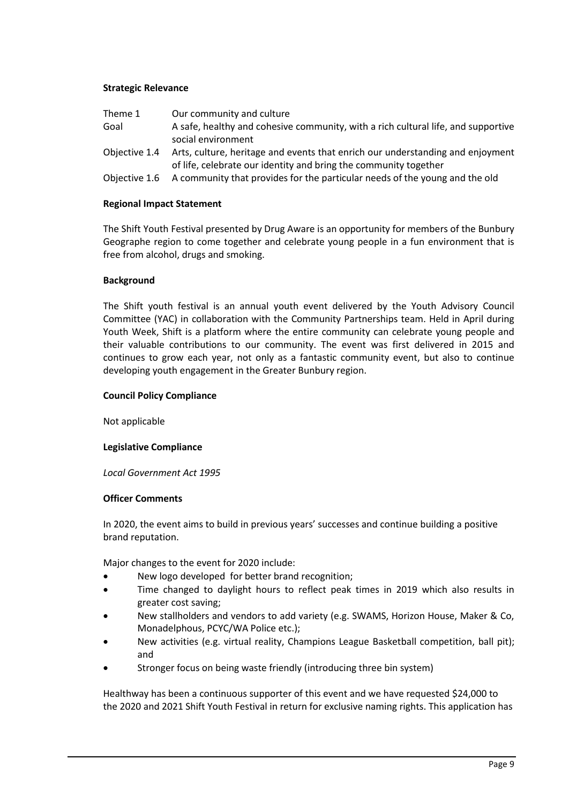## **Strategic Relevance**

| Theme 1       | Our community and culture                                                         |
|---------------|-----------------------------------------------------------------------------------|
| Goal          | A safe, healthy and cohesive community, with a rich cultural life, and supportive |
|               | social environment                                                                |
| Objective 1.4 | Arts, culture, heritage and events that enrich our understanding and enjoyment    |
|               | of life, celebrate our identity and bring the community together                  |
| Objective 1.6 | A community that provides for the particular needs of the young and the old       |

#### **Regional Impact Statement**

The Shift Youth Festival presented by Drug Aware is an opportunity for members of the Bunbury Geographe region to come together and celebrate young people in a fun environment that is free from alcohol, drugs and smoking.

#### **Background**

The Shift youth festival is an annual youth event delivered by the Youth Advisory Council Committee (YAC) in collaboration with the Community Partnerships team. Held in April during Youth Week, Shift is a platform where the entire community can celebrate young people and their valuable contributions to our community. The event was first delivered in 2015 and continues to grow each year, not only as a fantastic community event, but also to continue developing youth engagement in the Greater Bunbury region.

#### **Council Policy Compliance**

Not applicable

#### **Legislative Compliance**

*Local Government Act 1995*

#### **Officer Comments**

In 2020, the event aims to build in previous years' successes and continue building a positive brand reputation.

Major changes to the event for 2020 include:

- New logo developed for better brand recognition;
- Time changed to daylight hours to reflect peak times in 2019 which also results in greater cost saving;
- New stallholders and vendors to add variety (e.g. SWAMS, Horizon House, Maker & Co, Monadelphous, PCYC/WA Police etc.);
- New activities (e.g. virtual reality, Champions League Basketball competition, ball pit); and
- Stronger focus on being waste friendly (introducing three bin system)

Healthway has been a continuous supporter of this event and we have requested \$24,000 to the 2020 and 2021 Shift Youth Festival in return for exclusive naming rights. This application has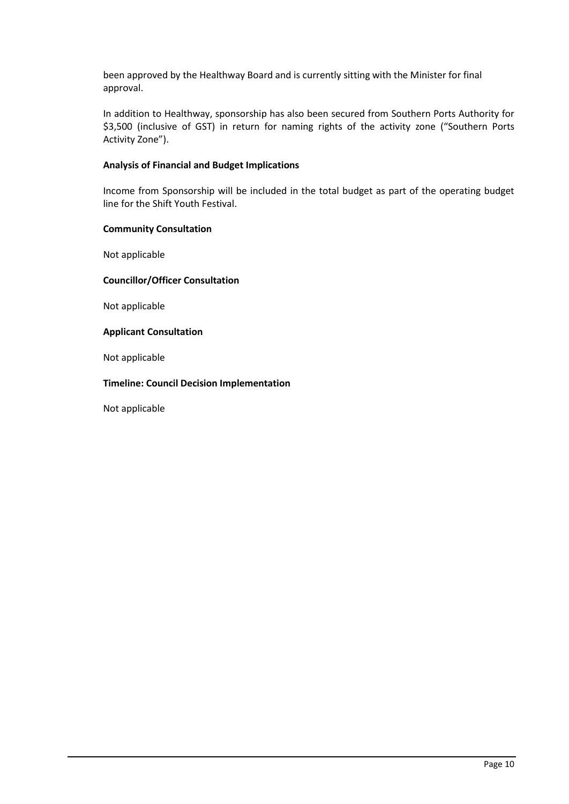been approved by the Healthway Board and is currently sitting with the Minister for final approval.

In addition to Healthway, sponsorship has also been secured from Southern Ports Authority for \$3,500 (inclusive of GST) in return for naming rights of the activity zone ("Southern Ports Activity Zone").

## **Analysis of Financial and Budget Implications**

Income from Sponsorship will be included in the total budget as part of the operating budget line for the Shift Youth Festival.

## **Community Consultation**

Not applicable

## **Councillor/Officer Consultation**

Not applicable

## **Applicant Consultation**

Not applicable

## **Timeline: Council Decision Implementation**

Not applicable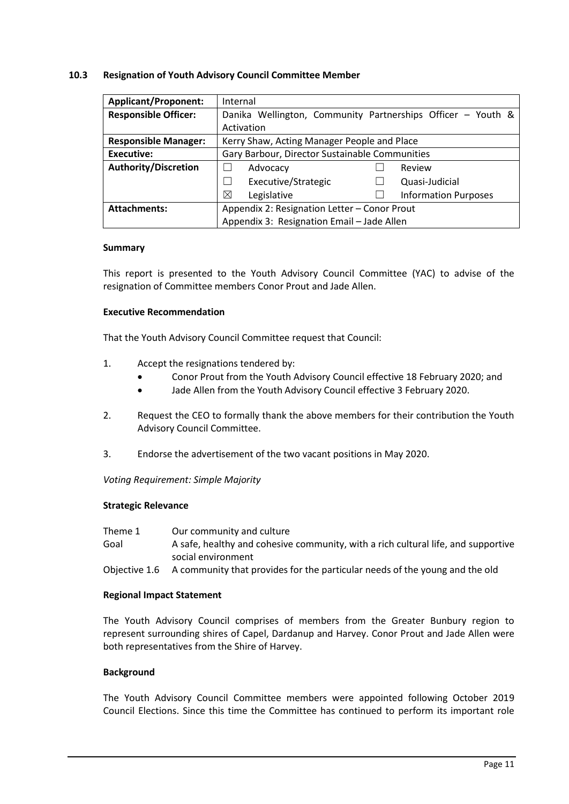#### <span id="page-11-0"></span>**10.3 Resignation of Youth Advisory Council Committee Member**

| <b>Applicant/Proponent:</b> | Internal                                                          |  |  |  |
|-----------------------------|-------------------------------------------------------------------|--|--|--|
| <b>Responsible Officer:</b> | Danika Wellington, Community Partnerships Officer - Youth &       |  |  |  |
|                             | Activation                                                        |  |  |  |
| <b>Responsible Manager:</b> | Kerry Shaw, Acting Manager People and Place                       |  |  |  |
| Executive:                  | Gary Barbour, Director Sustainable Communities                    |  |  |  |
| <b>Authority/Discretion</b> | Review<br>Advocacy                                                |  |  |  |
|                             | Executive/Strategic<br>Quasi-Judicial<br>$\overline{\phantom{0}}$ |  |  |  |
|                             | ⊠<br><b>Information Purposes</b><br>Legislative                   |  |  |  |
| <b>Attachments:</b>         | Appendix 2: Resignation Letter - Conor Prout                      |  |  |  |
|                             | Appendix 3: Resignation Email - Jade Allen                        |  |  |  |

#### **Summary**

This report is presented to the Youth Advisory Council Committee (YAC) to advise of the resignation of Committee members Conor Prout and Jade Allen.

#### **Executive Recommendation**

That the Youth Advisory Council Committee request that Council:

- 1. Accept the resignations tendered by:
	- Conor Prout from the Youth Advisory Council effective 18 February 2020; and
	- Jade Allen from the Youth Advisory Council effective 3 February 2020.
- 2. Request the CEO to formally thank the above members for their contribution the Youth Advisory Council Committee.
- 3. Endorse the advertisement of the two vacant positions in May 2020.

*Voting Requirement: Simple Majority* 

#### **Strategic Relevance**

| Theme 1 | Our community and culture                                                                 |
|---------|-------------------------------------------------------------------------------------------|
| Goal    | A safe, healthy and cohesive community, with a rich cultural life, and supportive         |
|         | social environment                                                                        |
|         | Objective 1.6 A community that provides for the particular needs of the young and the old |

#### **Regional Impact Statement**

The Youth Advisory Council comprises of members from the Greater Bunbury region to represent surrounding shires of Capel, Dardanup and Harvey. Conor Prout and Jade Allen were both representatives from the Shire of Harvey.

#### **Background**

The Youth Advisory Council Committee members were appointed following October 2019 Council Elections. Since this time the Committee has continued to perform its important role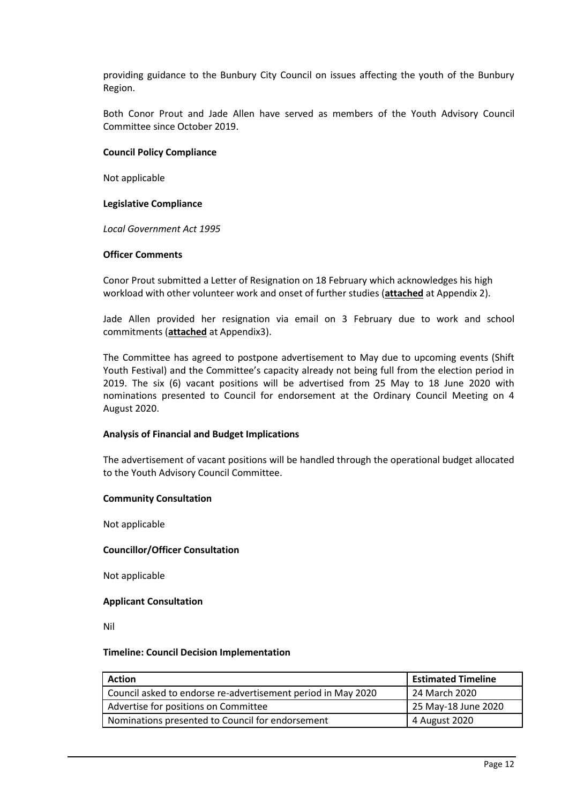providing guidance to the Bunbury City Council on issues affecting the youth of the Bunbury Region.

Both Conor Prout and Jade Allen have served as members of the Youth Advisory Council Committee since October 2019.

#### **Council Policy Compliance**

Not applicable

#### **Legislative Compliance**

*Local Government Act 1995*

#### **Officer Comments**

Conor Prout submitted a Letter of Resignation on 18 February which acknowledges his high workload with other volunteer work and onset of further studies (**attached** at Appendix 2).

Jade Allen provided her resignation via email on 3 February due to work and school commitments (**attached** at Appendix3).

The Committee has agreed to postpone advertisement to May due to upcoming events (Shift Youth Festival) and the Committee's capacity already not being full from the election period in 2019. The six (6) vacant positions will be advertised from 25 May to 18 June 2020 with nominations presented to Council for endorsement at the Ordinary Council Meeting on 4 August 2020.

#### **Analysis of Financial and Budget Implications**

The advertisement of vacant positions will be handled through the operational budget allocated to the Youth Advisory Council Committee.

#### **Community Consultation**

Not applicable

#### **Councillor/Officer Consultation**

Not applicable

#### **Applicant Consultation**

Nil

#### **Timeline: Council Decision Implementation**

| Action                                                       | <b>Estimated Timeline</b> |
|--------------------------------------------------------------|---------------------------|
| Council asked to endorse re-advertisement period in May 2020 | 24 March 2020             |
| Advertise for positions on Committee                         | 25 May-18 June 2020       |
| Nominations presented to Council for endorsement             | 4 August 2020             |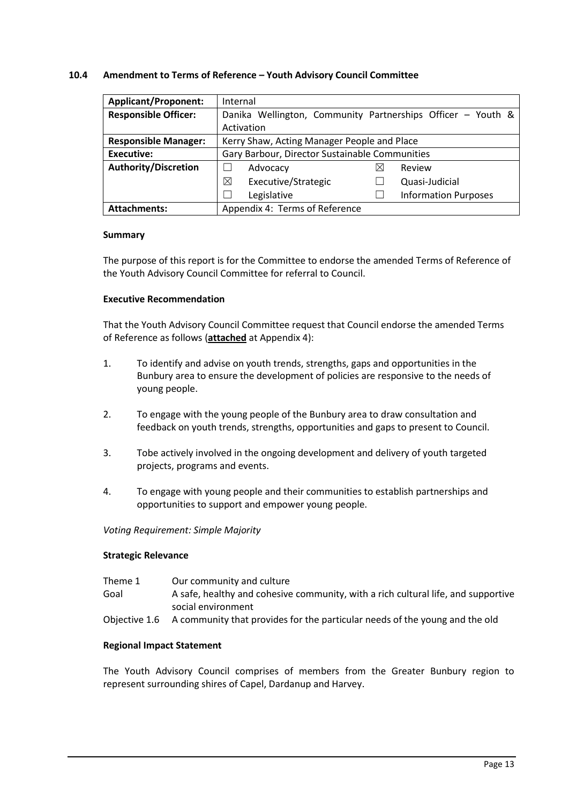#### <span id="page-13-0"></span>**10.4 Amendment to Terms of Reference – Youth Advisory Council Committee**

| <b>Applicant/Proponent:</b> | Internal                                                    |
|-----------------------------|-------------------------------------------------------------|
| <b>Responsible Officer:</b> | Danika Wellington, Community Partnerships Officer - Youth & |
|                             | Activation                                                  |
| <b>Responsible Manager:</b> | Kerry Shaw, Acting Manager People and Place                 |
| Executive:                  | Gary Barbour, Director Sustainable Communities              |
| <b>Authority/Discretion</b> | Advocacy<br>Review<br>⋈                                     |
|                             | ⊠<br>Executive/Strategic<br>Quasi-Judicial                  |
|                             | Legislative<br><b>Information Purposes</b>                  |
| <b>Attachments:</b>         | Appendix 4: Terms of Reference                              |

#### **Summary**

The purpose of this report is for the Committee to endorse the amended Terms of Reference of the Youth Advisory Council Committee for referral to Council.

## **Executive Recommendation**

That the Youth Advisory Council Committee request that Council endorse the amended Terms of Reference as follows (**attached** at Appendix 4):

- 1. To identify and advise on youth trends, strengths, gaps and opportunities in the Bunbury area to ensure the development of policies are responsive to the needs of young people.
- 2. To engage with the young people of the Bunbury area to draw consultation and feedback on youth trends, strengths, opportunities and gaps to present to Council.
- 3. Tobe actively involved in the ongoing development and delivery of youth targeted projects, programs and events.
- 4. To engage with young people and their communities to establish partnerships and opportunities to support and empower young people.

*Voting Requirement: Simple Majority* 

#### **Strategic Relevance**

| Theme 1 | Our community and culture                                                                 |
|---------|-------------------------------------------------------------------------------------------|
| Goal    | A safe, healthy and cohesive community, with a rich cultural life, and supportive         |
|         | social environment                                                                        |
|         | Objective 1.6 A community that provides for the particular needs of the young and the old |

#### **Regional Impact Statement**

The Youth Advisory Council comprises of members from the Greater Bunbury region to represent surrounding shires of Capel, Dardanup and Harvey.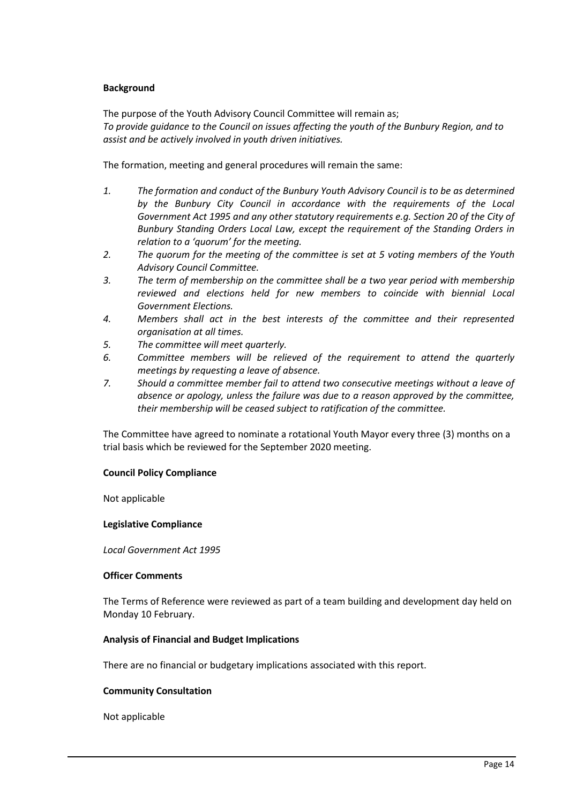### **Background**

The purpose of the Youth Advisory Council Committee will remain as; *To provide guidance to the Council on issues affecting the youth of the Bunbury Region, and to assist and be actively involved in youth driven initiatives.* 

The formation, meeting and general procedures will remain the same:

- *1. The formation and conduct of the Bunbury Youth Advisory Council is to be as determined by the Bunbury City Council in accordance with the requirements of the Local Government Act 1995 and any other statutory requirements e.g. Section 20 of the City of Bunbury Standing Orders Local Law, except the requirement of the Standing Orders in relation to a 'quorum' for the meeting.*
- *2. The quorum for the meeting of the committee is set at 5 voting members of the Youth Advisory Council Committee.*
- *3. The term of membership on the committee shall be a two year period with membership reviewed and elections held for new members to coincide with biennial Local Government Elections.*
- *4. Members shall act in the best interests of the committee and their represented organisation at all times.*
- *5. The committee will meet quarterly.*
- *6. Committee members will be relieved of the requirement to attend the quarterly meetings by requesting a leave of absence.*
- *7. Should a committee member fail to attend two consecutive meetings without a leave of absence or apology, unless the failure was due to a reason approved by the committee, their membership will be ceased subject to ratification of the committee.*

The Committee have agreed to nominate a rotational Youth Mayor every three (3) months on a trial basis which be reviewed for the September 2020 meeting.

#### **Council Policy Compliance**

Not applicable

#### **Legislative Compliance**

*Local Government Act 1995*

#### **Officer Comments**

The Terms of Reference were reviewed as part of a team building and development day held on Monday 10 February.

#### **Analysis of Financial and Budget Implications**

There are no financial or budgetary implications associated with this report.

#### **Community Consultation**

Not applicable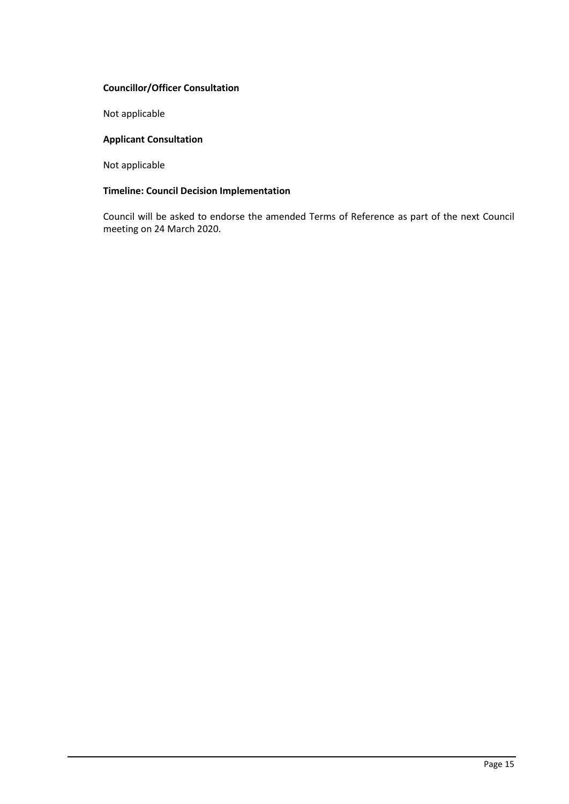## **Councillor/Officer Consultation**

Not applicable

## **Applicant Consultation**

Not applicable

## **Timeline: Council Decision Implementation**

Council will be asked to endorse the amended Terms of Reference as part of the next Council meeting on 24 March 2020.